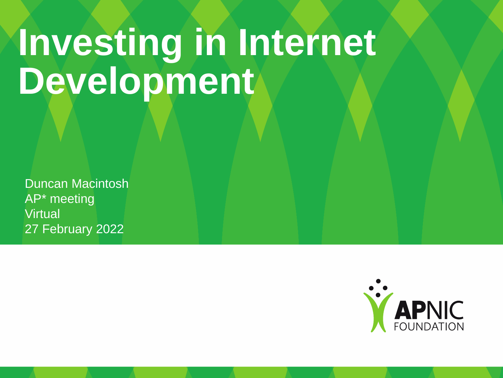# **Investing in Internet**  Development

Duncan Macintosh AP\* meeting **Virtual** 27 February 2022

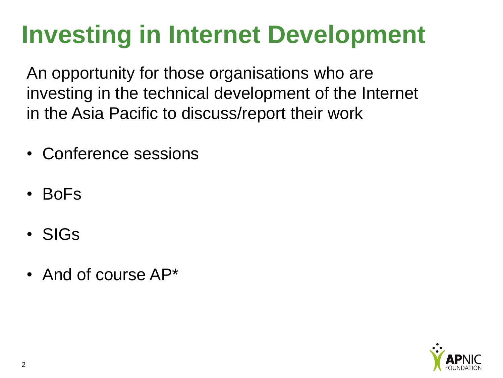## **Investing in Internet Development**

An opportunity for those organisations who are investing in the technical development of the Internet in the Asia Pacific to discuss/report their work

- Conference sessions
- BoFs
- SIGs
- And of course AP\*

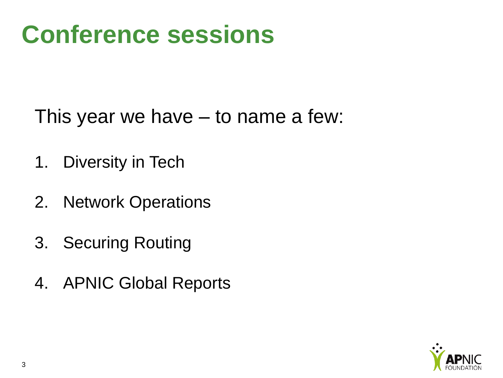#### **Conference sessions**

This year we have – to name a few:

- 1. Diversity in Tech
- 2. Network Operations
- 3. Securing Routing
- 4. APNIC Global Reports

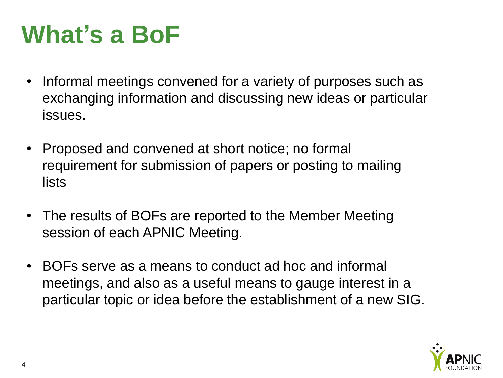### **What's a BoF**

- Informal meetings convened for a variety of purposes such as exchanging information and discussing new ideas or particular issues.
- Proposed and convened at short notice; no formal requirement for submission of papers or posting to mailing lists
- The results of BOFs are reported to the Member Meeting session of each APNIC Meeting.
- BOFs serve as a means to conduct ad hoc and informal meetings, and also as a useful means to gauge interest in a particular topic or idea before the establishment of a new SIG.

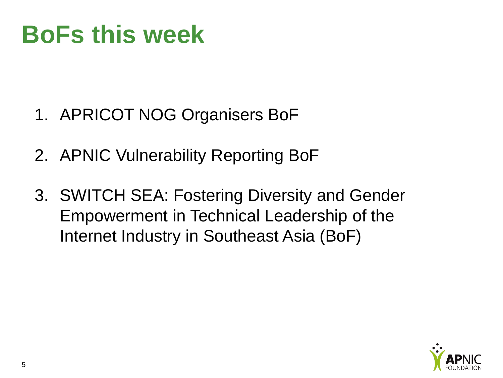#### **BoFs this week**

- 1. APRICOT NOG Organisers BoF
- 2. APNIC Vulnerability Reporting BoF
- 3. SWITCH SEA: Fostering Diversity and Gender Empowerment in Technical Leadership of the Internet Industry in Southeast Asia (BoF)

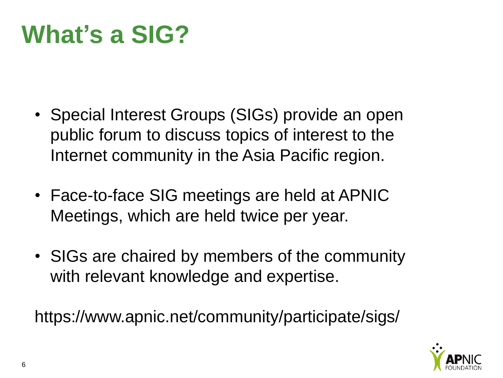#### **What's a SIG?**

- Special Interest Groups (SIGs) provide an open public forum to discuss topics of interest to the Internet community in the Asia Pacific region.
- Face-to-face SIG meetings are held at APNIC Meetings, which are held twice per year.
- SIGs are chaired by members of the community with relevant knowledge and expertise.

https://www.apnic.net/community/participate/sigs/

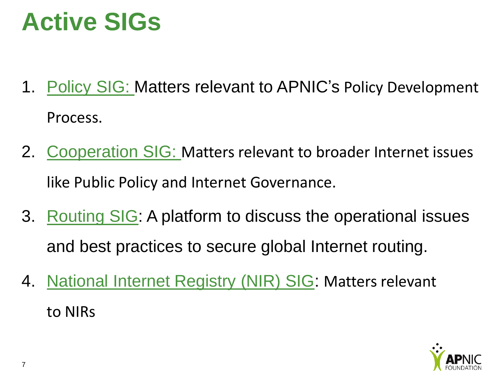#### **Active SIGs**

- 1. [Policy SIG:](https://www.apnic.net/community/policy/policy-sig/) Matters relevant to APNIC's Policy Development Process.
- 2. [Cooperation SIG:](https://www.apnic.net/community/participate/sigs/cooperation-sig/) Matters relevant to broader Internet issues like Public Policy and Internet Governance.
- 3. [Routing SIG](https://www.apnic.net/community/participate/sigs/routing-security-sig/): A platform to discuss the operational issues and best practices to secure global Internet routing.
- 4. [National Internet Registry \(NIR\) SIG](https://www.apnic.net/community/participate/sigs/nir-sig/): Matters relevant to NIRs

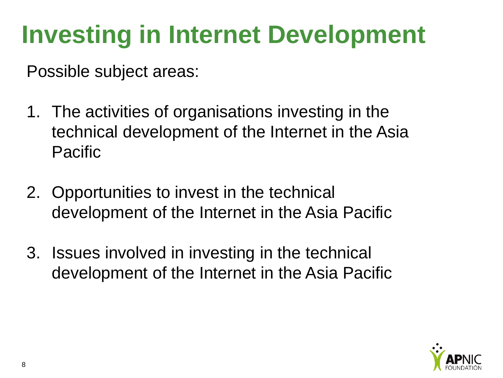## **Investing in Internet Development**

Possible subject areas:

- 1. The activities of organisations investing in the technical development of the Internet in the Asia Pacific
- 2. Opportunities to invest in the technical development of the Internet in the Asia Pacific
- 3. Issues involved in investing in the technical development of the Internet in the Asia Pacific